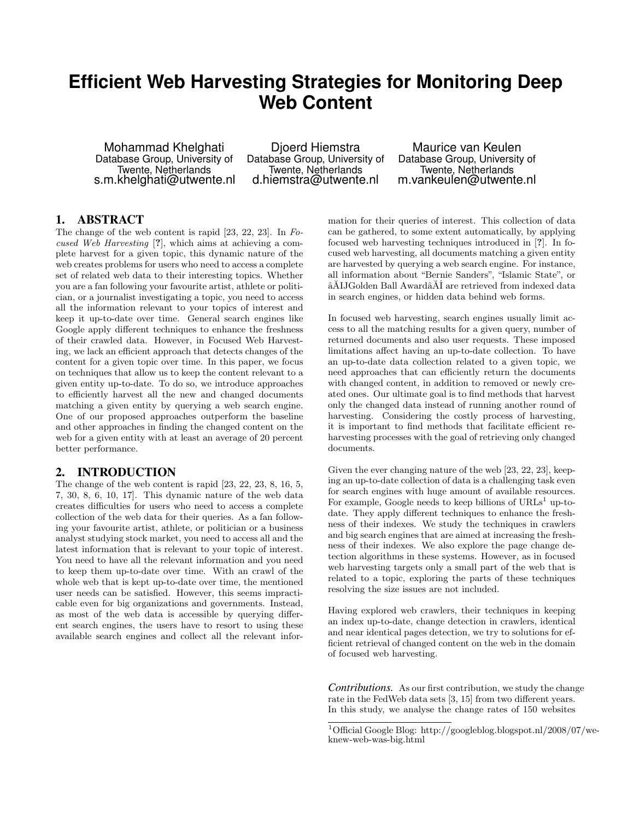# **Efficient Web Harvesting Strategies for Monitoring Deep Web Content**

Mohammad Khelghati Database Group, University of Twente, Netherlands s.m.khelghati@utwente.nl

Djoerd Hiemstra Database Group, University of Twente, Netherlands d.hiemstra@utwente.nl

Maurice van Keulen Database Group, University of Twente, Netherlands m.vankeulen@utwente.nl

## 1. ABSTRACT

The change of the web content is rapid [23, 22, 23]. In Focused Web Harvesting [?], which aims at achieving a complete harvest for a given topic, this dynamic nature of the web creates problems for users who need to access a complete set of related web data to their interesting topics. Whether you are a fan following your favourite artist, athlete or politician, or a journalist investigating a topic, you need to access all the information relevant to your topics of interest and keep it up-to-date over time. General search engines like Google apply different techniques to enhance the freshness of their crawled data. However, in Focused Web Harvesting, we lack an efficient approach that detects changes of the content for a given topic over time. In this paper, we focus on techniques that allow us to keep the content relevant to a given entity up-to-date. To do so, we introduce approaches to efficiently harvest all the new and changed documents matching a given entity by querying a web search engine. One of our proposed approaches outperform the baseline and other approaches in finding the changed content on the web for a given entity with at least an average of 20 percent better performance.

## 2. INTRODUCTION

The change of the web content is rapid [23, 22, 23, 8, 16, 5, 7, 30, 8, 6, 10, 17]. This dynamic nature of the web data creates difficulties for users who need to access a complete collection of the web data for their queries. As a fan following your favourite artist, athlete, or politician or a business analyst studying stock market, you need to access all and the latest information that is relevant to your topic of interest. You need to have all the relevant information and you need to keep them up-to-date over time. With an crawl of the whole web that is kept up-to-date over time, the mentioned user needs can be satisfied. However, this seems impracticable even for big organizations and governments. Instead, as most of the web data is accessible by querying different search engines, the users have to resort to using these available search engines and collect all the relevant information for their queries of interest. This collection of data can be gathered, to some extent automatically, by applying focused web harvesting techniques introduced in [?]. In focused web harvesting, all documents matching a given entity are harvested by querying a web search engine. For instance, all information about "Bernie Sanders", "Islamic State", or  $\tilde{\mathbf{a}}$ AIJGolden Ball Award $\tilde{\mathbf{a}}$ AI are retrieved from indexed data in search engines, or hidden data behind web forms.

In focused web harvesting, search engines usually limit access to all the matching results for a given query, number of returned documents and also user requests. These imposed limitations affect having an up-to-date collection. To have an up-to-date data collection related to a given topic, we need approaches that can efficiently return the documents with changed content, in addition to removed or newly created ones. Our ultimate goal is to find methods that harvest only the changed data instead of running another round of harvesting. Considering the costly process of harvesting, it is important to find methods that facilitate efficient reharvesting processes with the goal of retrieving only changed documents.

Given the ever changing nature of the web [23, 22, 23], keeping an up-to-date collection of data is a challenging task even for search engines with huge amount of available resources. For example, Google needs to keep billions of  $\mathrm{URLs}^1$  up-todate. They apply different techniques to enhance the freshness of their indexes. We study the techniques in crawlers and big search engines that are aimed at increasing the freshness of their indexes. We also explore the page change detection algorithms in these systems. However, as in focused web harvesting targets only a small part of the web that is related to a topic, exploring the parts of these techniques resolving the size issues are not included.

Having explored web crawlers, their techniques in keeping an index up-to-date, change detection in crawlers, identical and near identical pages detection, we try to solutions for efficient retrieval of changed content on the web in the domain of focused web harvesting.

*Contributions.* As our first contribution, we study the change rate in the FedWeb data sets [3, 15] from two different years. In this study, we analyse the change rates of 150 websites

<sup>1</sup>Official Google Blog: http://googleblog.blogspot.nl/2008/07/weknew-web-was-big.html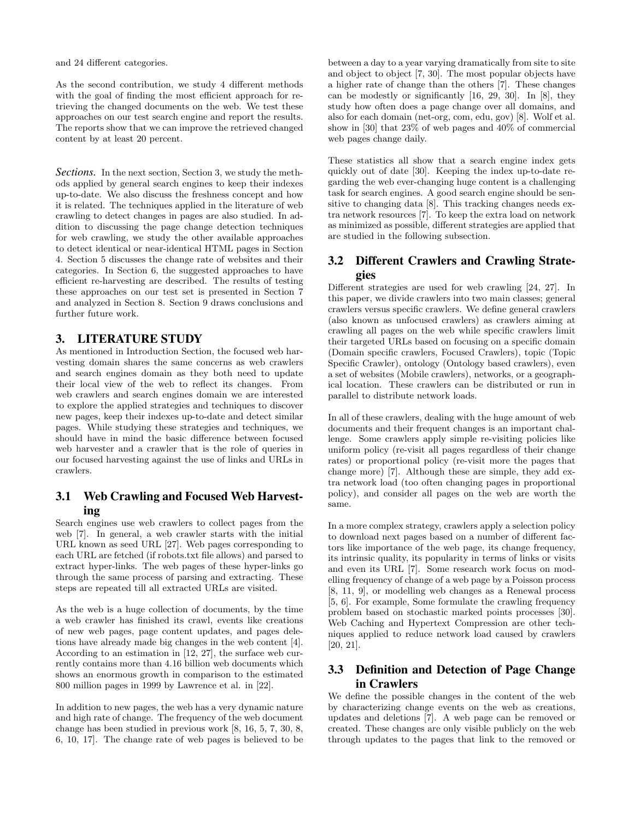and 24 different categories.

As the second contribution, we study 4 different methods with the goal of finding the most efficient approach for retrieving the changed documents on the web. We test these approaches on our test search engine and report the results. The reports show that we can improve the retrieved changed content by at least 20 percent.

*Sections.* In the next section, Section 3, we study the methods applied by general search engines to keep their indexes up-to-date. We also discuss the freshness concept and how it is related. The techniques applied in the literature of web crawling to detect changes in pages are also studied. In addition to discussing the page change detection techniques for web crawling, we study the other available approaches to detect identical or near-identical HTML pages in Section 4. Section 5 discusses the change rate of websites and their categories. In Section 6, the suggested approaches to have efficient re-harvesting are described. The results of testing these approaches on our test set is presented in Section 7 and analyzed in Section 8. Section 9 draws conclusions and further future work.

## 3. LITERATURE STUDY

As mentioned in Introduction Section, the focused web harvesting domain shares the same concerns as web crawlers and search engines domain as they both need to update their local view of the web to reflect its changes. From web crawlers and search engines domain we are interested to explore the applied strategies and techniques to discover new pages, keep their indexes up-to-date and detect similar pages. While studying these strategies and techniques, we should have in mind the basic difference between focused web harvester and a crawler that is the role of queries in our focused harvesting against the use of links and URLs in crawlers.

# 3.1 Web Crawling and Focused Web Harvesting

Search engines use web crawlers to collect pages from the web [7]. In general, a web crawler starts with the initial URL known as seed URL [27]. Web pages corresponding to each URL are fetched (if robots.txt file allows) and parsed to extract hyper-links. The web pages of these hyper-links go through the same process of parsing and extracting. These steps are repeated till all extracted URLs are visited.

As the web is a huge collection of documents, by the time a web crawler has finished its crawl, events like creations of new web pages, page content updates, and pages deletions have already made big changes in the web content [4]. According to an estimation in [12, 27], the surface web currently contains more than 4.16 billion web documents which shows an enormous growth in comparison to the estimated 800 million pages in 1999 by Lawrence et al. in [22].

In addition to new pages, the web has a very dynamic nature and high rate of change. The frequency of the web document change has been studied in previous work [8, 16, 5, 7, 30, 8, 6, 10, 17]. The change rate of web pages is believed to be

between a day to a year varying dramatically from site to site and object to object [7, 30]. The most popular objects have a higher rate of change than the others [7]. These changes can be modestly or significantly [16, 29, 30]. In [8], they study how often does a page change over all domains, and also for each domain (net-org, com, edu, gov) [8]. Wolf et al. show in [30] that 23% of web pages and 40% of commercial web pages change daily.

These statistics all show that a search engine index gets quickly out of date [30]. Keeping the index up-to-date regarding the web ever-changing huge content is a challenging task for search engines. A good search engine should be sensitive to changing data [8]. This tracking changes needs extra network resources [7]. To keep the extra load on network as minimized as possible, different strategies are applied that are studied in the following subsection.

# 3.2 Different Crawlers and Crawling Strategies

Different strategies are used for web crawling [24, 27]. In this paper, we divide crawlers into two main classes; general crawlers versus specific crawlers. We define general crawlers (also known as unfocused crawlers) as crawlers aiming at crawling all pages on the web while specific crawlers limit their targeted URLs based on focusing on a specific domain (Domain specific crawlers, Focused Crawlers), topic (Topic Specific Crawler), ontology (Ontology based crawlers), even a set of websites (Mobile crawlers), networks, or a geographical location. These crawlers can be distributed or run in parallel to distribute network loads.

In all of these crawlers, dealing with the huge amount of web documents and their frequent changes is an important challenge. Some crawlers apply simple re-visiting policies like uniform policy (re-visit all pages regardless of their change rates) or proportional policy (re-visit more the pages that change more) [7]. Although these are simple, they add extra network load (too often changing pages in proportional policy), and consider all pages on the web are worth the same.

In a more complex strategy, crawlers apply a selection policy to download next pages based on a number of different factors like importance of the web page, its change frequency, its intrinsic quality, its popularity in terms of links or visits and even its URL [7]. Some research work focus on modelling frequency of change of a web page by a Poisson process [8, 11, 9], or modelling web changes as a Renewal process [5, 6]. For example, Some formulate the crawling frequency problem based on stochastic marked points processes [30]. Web Caching and Hypertext Compression are other techniques applied to reduce network load caused by crawlers [20, 21].

# 3.3 Definition and Detection of Page Change in Crawlers

We define the possible changes in the content of the web by characterizing change events on the web as creations, updates and deletions [7]. A web page can be removed or created. These changes are only visible publicly on the web through updates to the pages that link to the removed or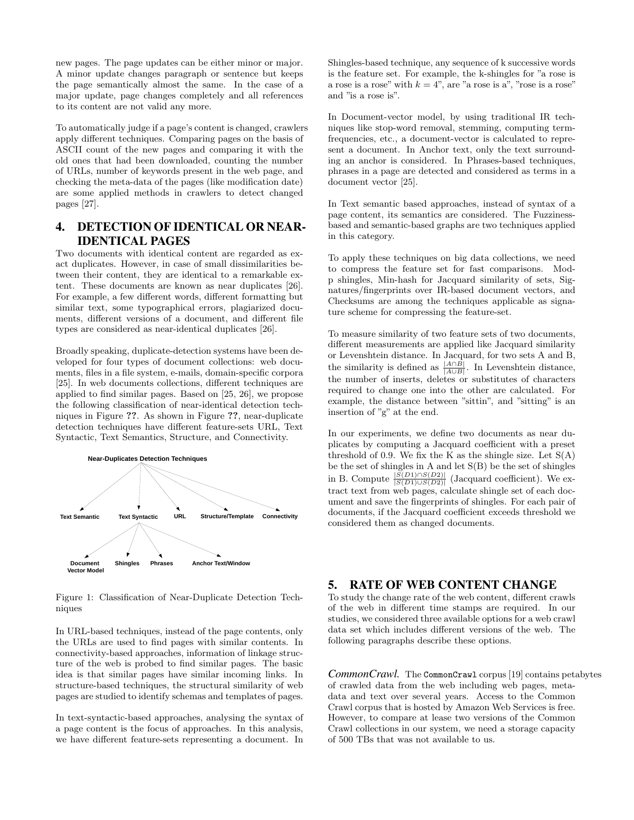new pages. The page updates can be either minor or major. A minor update changes paragraph or sentence but keeps the page semantically almost the same. In the case of a major update, page changes completely and all references to its content are not valid any more.

To automatically judge if a page's content is changed, crawlers apply different techniques. Comparing pages on the basis of ASCII count of the new pages and comparing it with the old ones that had been downloaded, counting the number of URLs, number of keywords present in the web page, and checking the meta-data of the pages (like modification date) are some applied methods in crawlers to detect changed pages [27].

# 4. DETECTION OF IDENTICAL OR NEAR-IDENTICAL PAGES

Two documents with identical content are regarded as exact duplicates. However, in case of small dissimilarities between their content, they are identical to a remarkable extent. These documents are known as near duplicates [26]. For example, a few different words, different formatting but similar text, some typographical errors, plagiarized documents, different versions of a document, and different file types are considered as near-identical duplicates [26].

Broadly speaking, duplicate-detection systems have been developed for four types of document collections: web documents, files in a file system, e-mails, domain-specific corpora [25]. In web documents collections, different techniques are applied to find similar pages. Based on [25, 26], we propose the following classification of near-identical detection techniques in Figure ??. As shown in Figure ??, near-duplicate detection techniques have different feature-sets URL, Text Syntactic, Text Semantics, Structure, and Connectivity.



Figure 1: Classification of Near-Duplicate Detection Techniques

In URL-based techniques, instead of the page contents, only the URLs are used to find pages with similar contents. In connectivity-based approaches, information of linkage structure of the web is probed to find similar pages. The basic idea is that similar pages have similar incoming links. In structure-based techniques, the structural similarity of web pages are studied to identify schemas and templates of pages.

In text-syntactic-based approaches, analysing the syntax of a page content is the focus of approaches. In this analysis, we have different feature-sets representing a document. In

Shingles-based technique, any sequence of k successive words is the feature set. For example, the k-shingles for "a rose is a rose is a rose" with  $k = 4$ ", are "a rose is a", "rose is a rose" and "is a rose is".

In Document-vector model, by using traditional IR techniques like stop-word removal, stemming, computing termfrequencies, etc., a document-vector is calculated to represent a document. In Anchor text, only the text surrounding an anchor is considered. In Phrases-based techniques, phrases in a page are detected and considered as terms in a document vector [25].

In Text semantic based approaches, instead of syntax of a page content, its semantics are considered. The Fuzzinessbased and semantic-based graphs are two techniques applied in this category.

To apply these techniques on big data collections, we need to compress the feature set for fast comparisons. Modp shingles, Min-hash for Jacquard similarity of sets, Signatures/fingerprints over IR-based document vectors, and Checksums are among the techniques applicable as signature scheme for compressing the feature-set.

To measure similarity of two feature sets of two documents, different measurements are applied like Jacquard similarity or Levenshtein distance. In Jacquard, for two sets A and B, the similarity is defined as  $\frac{|A \cap B|}{|A \cup B|}$ . In Levenshtein distance, the number of inserts, deletes or substitutes of characters required to change one into the other are calculated. For example, the distance between "sittin", and "sitting" is an insertion of "g" at the end.

In our experiments, we define two documents as near duplicates by computing a Jacquard coefficient with a preset threshold of 0.9. We fix the K as the shingle size. Let  $S(A)$ be the set of shingles in A and let S(B) be the set of shingles in B. Compute  $\frac{|S(D1) \cap S(D2)|}{|S(D1) \cup S(D2)|}$  (Jacquard coefficient). We extract text from web pages, calculate shingle set of each document and save the fingerprints of shingles. For each pair of documents, if the Jacquard coefficient exceeds threshold we considered them as changed documents.

### 5. RATE OF WEB CONTENT CHANGE

To study the change rate of the web content, different crawls of the web in different time stamps are required. In our studies, we considered three available options for a web crawl data set which includes different versions of the web. The following paragraphs describe these options.

*CommonCrawl.* The CommonCrawl corpus [19] contains petabytes of crawled data from the web including web pages, metadata and text over several years. Access to the Common Crawl corpus that is hosted by Amazon Web Services is free. However, to compare at lease two versions of the Common Crawl collections in our system, we need a storage capacity of 500 TBs that was not available to us.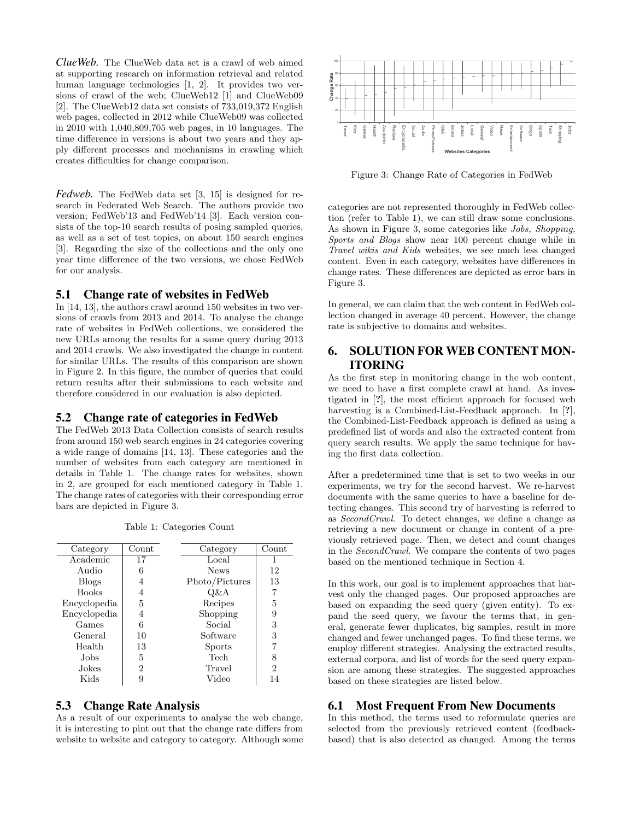*ClueWeb.* The ClueWeb data set is a crawl of web aimed at supporting research on information retrieval and related human language technologies [1, 2]. It provides two versions of crawl of the web; ClueWeb12 [1] and ClueWeb09 [2]. The ClueWeb12 data set consists of 733,019,372 English web pages, collected in 2012 while ClueWeb09 was collected in 2010 with 1,040,809,705 web pages, in 10 languages. The time difference in versions is about two years and they apply different processes and mechanisms in crawling which creates difficulties for change comparison.

*Fedweb.* The FedWeb data set [3, 15] is designed for research in Federated Web Search. The authors provide two version; FedWeb'13 and FedWeb'14 [3]. Each version consists of the top-10 search results of posing sampled queries, as well as a set of test topics, on about 150 search engines [3]. Regarding the size of the collections and the only one year time difference of the two versions, we chose FedWeb for our analysis.

#### 5.1 Change rate of websites in FedWeb

In [14, 13], the authors crawl around 150 websites in two versions of crawls from 2013 and 2014. To analyse the change rate of websites in FedWeb collections, we considered the new URLs among the results for a same query during 2013 and 2014 crawls. We also investigated the change in content for similar URLs. The results of this comparison are shown in Figure 2. In this figure, the number of queries that could return results after their submissions to each website and therefore considered in our evaluation is also depicted.

#### 5.2 Change rate of categories in FedWeb

The FedWeb 2013 Data Collection consists of search results from around 150 web search engines in 24 categories covering a wide range of domains [14, 13]. These categories and the number of websites from each category are mentioned in details in Table 1. The change rates for websites, shown in 2, are grouped for each mentioned category in Table 1. The change rates of categories with their corresponding error bars are depicted in Figure 3.

| Category     | $\operatorname{Count}$ | Category       | Count |  |
|--------------|------------------------|----------------|-------|--|
| Academic     | 17                     | Local          |       |  |
| Audio        | 6                      | <b>News</b>    | 12    |  |
| <b>Blogs</b> | 4                      | Photo/Pictures | 13    |  |
| <b>Books</b> | 4                      | Q&A            | 7     |  |
| Encyclopedia | 5                      | Recipes        | 5     |  |
| Encyclopedia | 4                      | Shopping       | 9     |  |
| Games        | 6                      | Social         | 3     |  |
| General      | 10                     | Software       | 3     |  |
| Health       | 13                     | <b>Sports</b>  |       |  |
| Jobs         | 5                      | Tech           | 8     |  |
| Jokes        | 2                      | Travel         | 2     |  |
| Kids         | 9                      | Video          | 14    |  |
|              |                        |                |       |  |

Table 1: Categories Count

## 5.3 Change Rate Analysis

As a result of our experiments to analyse the web change, it is interesting to pint out that the change rate differs from website to website and category to category. Although some



Figure 3: Change Rate of Categories in FedWeb

categories are not represented thoroughly in FedWeb collection (refer to Table 1), we can still draw some conclusions. As shown in Figure 3, some categories like Jobs, Shopping, Sports and Blogs show near 100 percent change while in Travel wikis and Kids websites, we see much less changed content. Even in each category, websites have differences in change rates. These differences are depicted as error bars in Figure 3.

In general, we can claim that the web content in FedWeb collection changed in average 40 percent. However, the change rate is subjective to domains and websites.

## 6. SOLUTION FOR WEB CONTENT MON-ITORING

As the first step in monitoring change in the web content, we need to have a first complete crawl at hand. As investigated in [?], the most efficient approach for focused web harvesting is a Combined-List-Feedback approach. In [?], the Combined-List-Feedback approach is defined as using a predefined list of words and also the extracted content from query search results. We apply the same technique for having the first data collection.

After a predetermined time that is set to two weeks in our experiments, we try for the second harvest. We re-harvest documents with the same queries to have a baseline for detecting changes. This second try of harvesting is referred to as SecondCrawl. To detect changes, we define a change as retrieving a new document or change in content of a previously retrieved page. Then, we detect and count changes in the SecondCrawl. We compare the contents of two pages based on the mentioned technique in Section 4.

In this work, our goal is to implement approaches that harvest only the changed pages. Our proposed approaches are based on expanding the seed query (given entity). To expand the seed query, we favour the terms that, in general, generate fewer duplicates, big samples, result in more changed and fewer unchanged pages. To find these terms, we employ different strategies. Analysing the extracted results, external corpora, and list of words for the seed query expansion are among these strategies. The suggested approaches based on these strategies are listed below.

## 6.1 Most Frequent From New Documents

In this method, the terms used to reformulate queries are selected from the previously retrieved content (feedbackbased) that is also detected as changed. Among the terms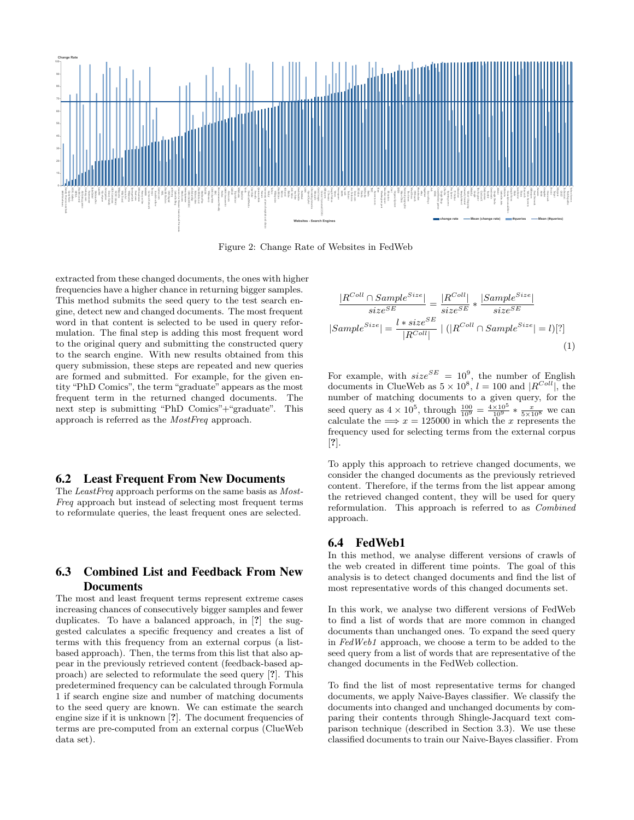

Figure 2: Change Rate of Websites in FedWeb

extracted from these changed documents, the ones with higher frequencies have a higher chance in returning bigger samples. This method submits the seed query to the test search engine, detect new and changed documents. The most frequent word in that content is selected to be used in query reformulation. The final step is adding this most frequent word to the original query and submitting the constructed query to the search engine. With new results obtained from this query submission, these steps are repeated and new queries are formed and submitted. For example, for the given entity "PhD Comics", the term "graduate" appears as the most frequent term in the returned changed documents. The next step is submitting "PhD Comics"+"graduate". This approach is referred as the MostFreq approach.

#### 6.2 Least Frequent From New Documents

The LeastFreq approach performs on the same basis as Most-Freq approach but instead of selecting most frequent terms to reformulate queries, the least frequent ones are selected.

# 6.3 Combined List and Feedback From New **Documents**

The most and least frequent terms represent extreme cases increasing chances of consecutively bigger samples and fewer duplicates. To have a balanced approach, in [?] the suggested calculates a specific frequency and creates a list of terms with this frequency from an external corpus (a listbased approach). Then, the terms from this list that also appear in the previously retrieved content (feedback-based approach) are selected to reformulate the seed query [?]. This predetermined frequency can be calculated through Formula 1 if search engine size and number of matching documents to the seed query are known. We can estimate the search engine size if it is unknown [?]. The document frequencies of terms are pre-computed from an external corpus (ClueWeb data set).

$$
\frac{|R^{Coll} \cap Sample^{Size}|}{size^{SE}} = \frac{|R^{Coll}|}{size^{SE}} * \frac{|Sample^{Size}|}{size^{SE}}
$$
  

$$
|Sample^{Size}| = \frac{l * size^{SE}}{|R^{Coll}|} \mid (|R^{Coll} \cap Sample^{Size}| = l)[?] \tag{1}
$$

For example, with  $size^{SE} = 10^9$ , the number of English documents in ClueWeb as  $5 \times 10^8$ ,  $l = 100$  and  $|R^{Coll}|$ , the number of matching documents to a given query, for the seed query as  $4 \times 10^5$ , through  $\frac{100}{10^9} = \frac{4 \times 10^5}{10^9} * \frac{x}{5 \times 10^8}$  we can calculate the  $\implies x = 125000$  in which the x represents the frequency used for selecting terms from the external corpus [?].

To apply this approach to retrieve changed documents, we consider the changed documents as the previously retrieved content. Therefore, if the terms from the list appear among the retrieved changed content, they will be used for query reformulation. This approach is referred to as Combined approach.

#### 6.4 FedWeb1

In this method, we analyse different versions of crawls of the web created in different time points. The goal of this analysis is to detect changed documents and find the list of most representative words of this changed documents set.

In this work, we analyse two different versions of FedWeb to find a list of words that are more common in changed documents than unchanged ones. To expand the seed query in FedWeb1 approach, we choose a term to be added to the seed query from a list of words that are representative of the changed documents in the FedWeb collection.

To find the list of most representative terms for changed documents, we apply Naive-Bayes classifier. We classify the documents into changed and unchanged documents by comparing their contents through Shingle-Jacquard text comparison technique (described in Section 3.3). We use these classified documents to train our Naive-Bayes classifier. From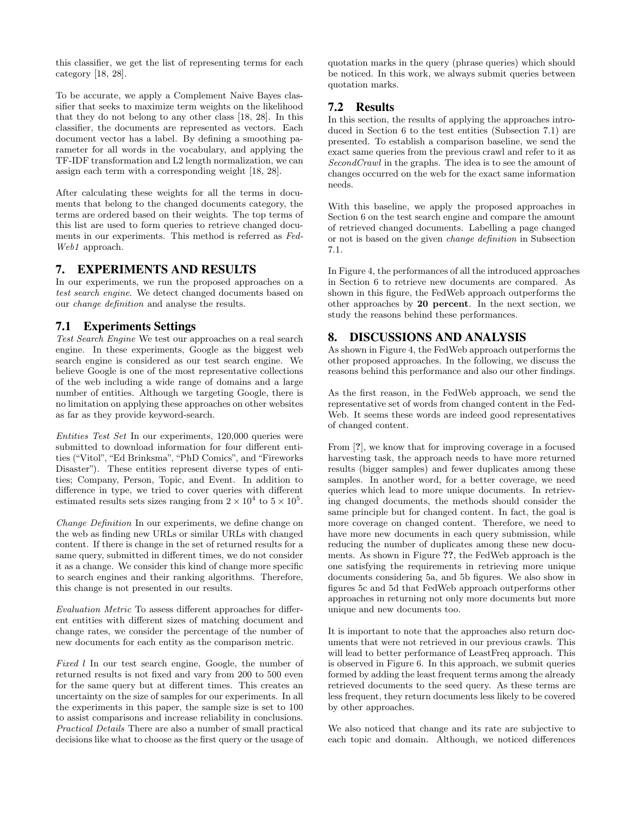this classifier, we get the list of representing terms for each category [18, 28].

To be accurate, we apply a Complement Naive Bayes classifier that seeks to maximize term weights on the likelihood that they do not belong to any other class [18, 28]. In this classifier, the documents are represented as vectors. Each document vector has a label. By defining a smoothing parameter for all words in the vocabulary, and applying the TF-IDF transformation and L2 length normalization, we can assign each term with a corresponding weight [18, 28].

After calculating these weights for all the terms in documents that belong to the changed documents category, the terms are ordered based on their weights. The top terms of this list are used to form queries to retrieve changed documents in our experiments. This method is referred as Fed-Web1 approach.

### 7. EXPERIMENTS AND RESULTS

In our experiments, we run the proposed approaches on a test search engine. We detect changed documents based on our change definition and analyse the results.

## 7.1 Experiments Settings

Test Search Engine We test our approaches on a real search engine. In these experiments, Google as the biggest web search engine is considered as our test search engine. We believe Google is one of the most representative collections of the web including a wide range of domains and a large number of entities. Although we targeting Google, there is no limitation on applying these approaches on other websites as far as they provide keyword-search.

Entities Test Set In our experiments, 120,000 queries were submitted to download information for four different entities ("Vitol", "Ed Brinksma", "PhD Comics", and "Fireworks Disaster"). These entities represent diverse types of entities; Company, Person, Topic, and Event. In addition to difference in type, we tried to cover queries with different estimated results sets sizes ranging from  $2 \times 10^4$  to  $5 \times 10^5$ .

Change Definition In our experiments, we define change on the web as finding new URLs or similar URLs with changed content. If there is change in the set of returned results for a same query, submitted in different times, we do not consider it as a change. We consider this kind of change more specific to search engines and their ranking algorithms. Therefore, this change is not presented in our results.

Evaluation Metric To assess different approaches for different entities with different sizes of matching document and change rates, we consider the percentage of the number of new documents for each entity as the comparison metric.

Fixed l In our test search engine, Google, the number of returned results is not fixed and vary from 200 to 500 even for the same query but at different times. This creates an uncertainty on the size of samples for our experiments. In all the experiments in this paper, the sample size is set to 100 to assist comparisons and increase reliability in conclusions. Practical Details There are also a number of small practical decisions like what to choose as the first query or the usage of quotation marks in the query (phrase queries) which should be noticed. In this work, we always submit queries between quotation marks.

## 7.2 Results

In this section, the results of applying the approaches introduced in Section 6 to the test entities (Subsection 7.1) are presented. To establish a comparison baseline, we send the exact same queries from the previous crawl and refer to it as SecondCrawl in the graphs. The idea is to see the amount of changes occurred on the web for the exact same information needs.

With this baseline, we apply the proposed approaches in Section 6 on the test search engine and compare the amount of retrieved changed documents. Labelling a page changed or not is based on the given change definition in Subsection 7.1.

In Figure 4, the performances of all the introduced approaches in Section 6 to retrieve new documents are compared. As shown in this figure, the FedWeb approach outperforms the other approaches by 20 percent. In the next section, we study the reasons behind these performances.

## 8. DISCUSSIONS AND ANALYSIS

As shown in Figure 4, the FedWeb approach outperforms the other proposed approaches. In the following, we discuss the reasons behind this performance and also our other findings.

As the first reason, in the FedWeb approach, we send the representative set of words from changed content in the Fed-Web. It seems these words are indeed good representatives of changed content.

From [?], we know that for improving coverage in a focused harvesting task, the approach needs to have more returned results (bigger samples) and fewer duplicates among these samples. In another word, for a better coverage, we need queries which lead to more unique documents. In retrieving changed documents, the methods should consider the same principle but for changed content. In fact, the goal is more coverage on changed content. Therefore, we need to have more new documents in each query submission, while reducing the number of duplicates among these new documents. As shown in Figure ??, the FedWeb approach is the one satisfying the requirements in retrieving more unique documents considering 5a, and 5b figures. We also show in figures 5c and 5d that FedWeb approach outperforms other approaches in returning not only more documents but more unique and new documents too.

It is important to note that the approaches also return documents that were not retrieved in our previous crawls. This will lead to better performance of LeastFreq approach. This is observed in Figure 6. In this approach, we submit queries formed by adding the least frequent terms among the already retrieved documents to the seed query. As these terms are less frequent, they return documents less likely to be covered by other approaches.

We also noticed that change and its rate are subjective to each topic and domain. Although, we noticed differences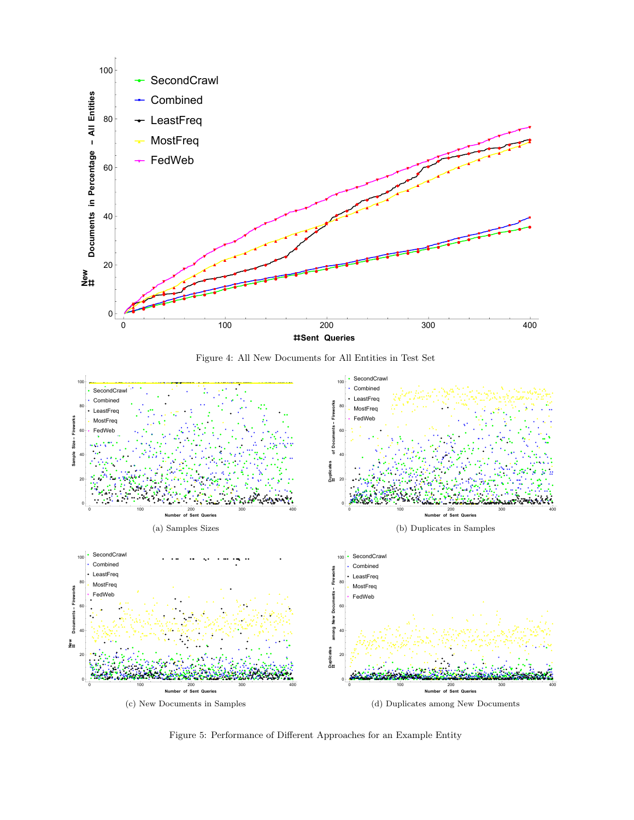

Figure 4: All New Documents for All Entities in Test Set



Figure 5: Performance of Different Approaches for an Example Entity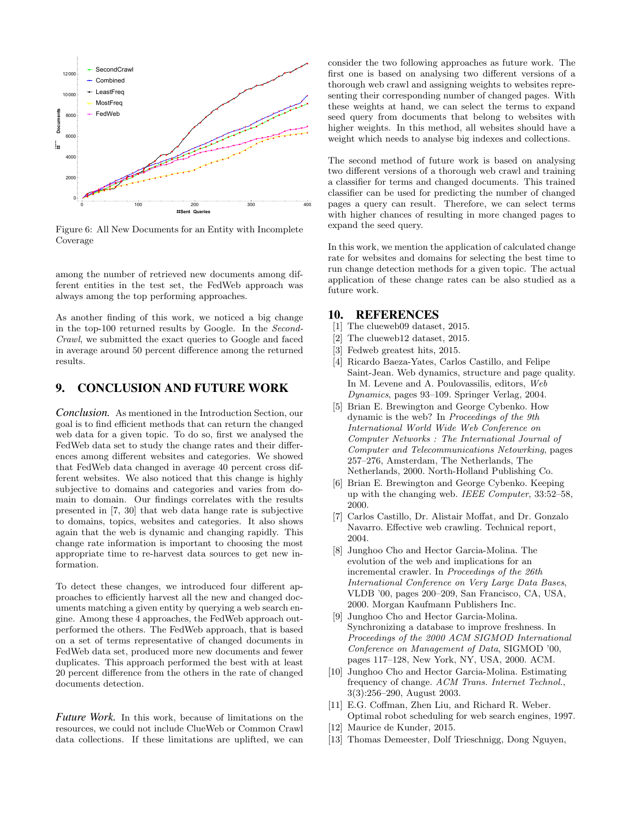

Figure 6: All New Documents for an Entity with Incomplete Coverage

among the number of retrieved new documents among different entities in the test set, the FedWeb approach was always among the top performing approaches.

As another finding of this work, we noticed a big change in the top-100 returned results by Google. In the Second-Crawl, we submitted the exact queries to Google and faced in average around 50 percent difference among the returned results.

## 9. CONCLUSION AND FUTURE WORK

*Conclusion.* As mentioned in the Introduction Section, our goal is to find efficient methods that can return the changed web data for a given topic. To do so, first we analysed the FedWeb data set to study the change rates and their differences among different websites and categories. We showed that FedWeb data changed in average 40 percent cross different websites. We also noticed that this change is highly subjective to domains and categories and varies from domain to domain. Our findings correlates with the results presented in [7, 30] that web data hange rate is subjective to domains, topics, websites and categories. It also shows again that the web is dynamic and changing rapidly. This change rate information is important to choosing the most appropriate time to re-harvest data sources to get new information.

To detect these changes, we introduced four different approaches to efficiently harvest all the new and changed documents matching a given entity by querying a web search engine. Among these 4 approaches, the FedWeb approach outperformed the others. The FedWeb approach, that is based on a set of terms representative of changed documents in FedWeb data set, produced more new documents and fewer duplicates. This approach performed the best with at least 20 percent difference from the others in the rate of changed documents detection.

*Future Work.* In this work, because of limitations on the resources, we could not include ClueWeb or Common Crawl data collections. If these limitations are uplifted, we can consider the two following approaches as future work. The first one is based on analysing two different versions of a thorough web crawl and assigning weights to websites representing their corresponding number of changed pages. With these weights at hand, we can select the terms to expand seed query from documents that belong to websites with higher weights. In this method, all websites should have a weight which needs to analyse big indexes and collections.

The second method of future work is based on analysing two different versions of a thorough web crawl and training a classifier for terms and changed documents. This trained classifier can be used for predicting the number of changed pages a query can result. Therefore, we can select terms with higher chances of resulting in more changed pages to expand the seed query.

In this work, we mention the application of calculated change rate for websites and domains for selecting the best time to run change detection methods for a given topic. The actual application of these change rates can be also studied as a future work.

#### 10. REFERENCES

- [1] The clueweb09 dataset, 2015.
- [2] The clueweb12 dataset, 2015.
- [3] Fedweb greatest hits, 2015.
- [4] Ricardo Baeza-Yates, Carlos Castillo, and Felipe Saint-Jean. Web dynamics, structure and page quality. In M. Levene and A. Poulovassilis, editors, Web Dynamics, pages 93–109. Springer Verlag, 2004.
- [5] Brian E. Brewington and George Cybenko. How dynamic is the web? In Proceedings of the 9th International World Wide Web Conference on Computer Networks : The International Journal of Computer and Telecommunications Netowrking, pages 257–276, Amsterdam, The Netherlands, The Netherlands, 2000. North-Holland Publishing Co.
- [6] Brian E. Brewington and George Cybenko. Keeping up with the changing web. IEEE Computer, 33:52–58, 2000.
- [7] Carlos Castillo, Dr. Alistair Moffat, and Dr. Gonzalo Navarro. Effective web crawling. Technical report, 2004.
- [8] Junghoo Cho and Hector Garcia-Molina. The evolution of the web and implications for an incremental crawler. In Proceedings of the 26th International Conference on Very Large Data Bases, VLDB '00, pages 200–209, San Francisco, CA, USA, 2000. Morgan Kaufmann Publishers Inc.
- [9] Junghoo Cho and Hector Garcia-Molina. Synchronizing a database to improve freshness. In Proceedings of the 2000 ACM SIGMOD International Conference on Management of Data, SIGMOD '00, pages 117–128, New York, NY, USA, 2000. ACM.
- [10] Junghoo Cho and Hector Garcia-Molina. Estimating frequency of change. ACM Trans. Internet Technol., 3(3):256–290, August 2003.
- [11] E.G. Coffman, Zhen Liu, and Richard R. Weber. Optimal robot scheduling for web search engines, 1997.
- [12] Maurice de Kunder, 2015.
- [13] Thomas Demeester, Dolf Trieschnigg, Dong Nguyen,